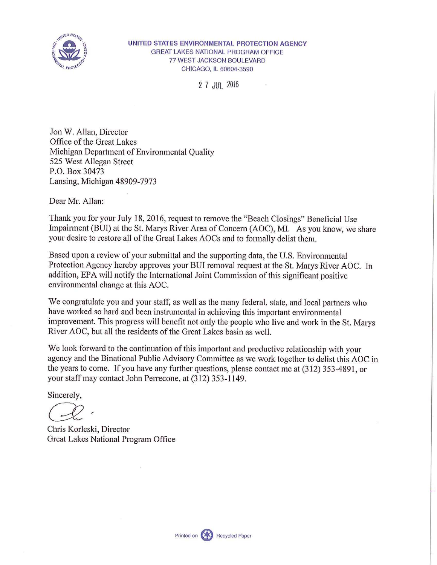

2 7 JUL 2016

Jon W. Allan, Director Office of the Great Lakes Michigan Department of Environmental Quality 525 West Allegan Street P.O. Box 30473 Lansing, Michigan 48909-7973

Dear Mr. Allan:

Thank you for your July 18, 2016, request to remove the "Beach Closings" Beneficial Use Impairment (BUI) at the St. Marys River Area of Concern (AOC), MI. As you know, we share your desire to restore all of the Great Lakes AOCs and to formally delist them.

Based upon a review of your submittal and the supporting data, the U.S. Environmental Protection Agency hereby approves your BUI removal request at the St. Marys River AOC. In addition, EPA will notify the International Joint Commission of this significant positive environmental change at this AOC.

We congratulate you and your staff, as well as the many federal, state, and local partners who have worked so hard and been instrumental in achieving this important environmental improvement. This progress will benefit not only the people who live and work in the St. Marys River AOC, but all the residents of the Great Lakes basin as well.

We look forward to the continuation of this important and productive relationship with your agency and the Binational Public Advisory Committee as we work together to delist this AOC in the years to come. If you have any further questions, please contact me at (312) 353-4891, or your staff may contact John Perrecone, at (312) 353-1149.

Sincerely,

*GJZ ~* 

Chris Korleski, Director Great Lakes National Program Office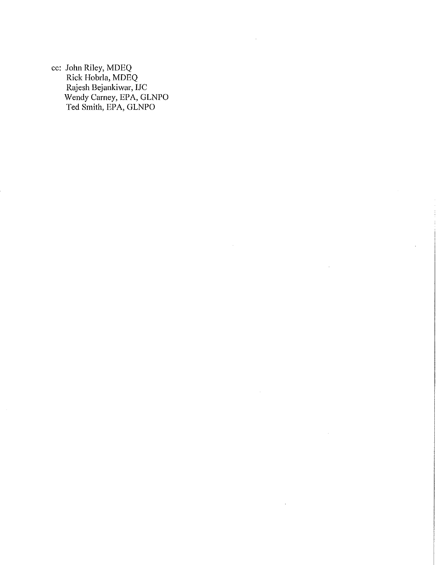cc: **John** Riley, MDEQ Rick Hobrla, MDEQ Rajesh Bejankiwar, IJC Wendy Carney, EPA, GLNPO Ted Smith, EPA, GLNPO

 $\sim$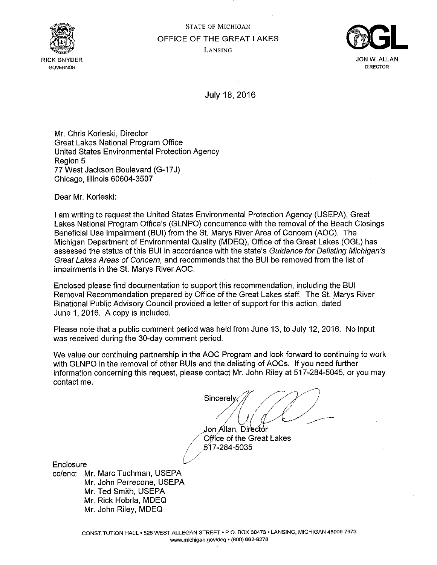

# STATE OF MICHIGAN OFFICE OF THE GREAT LAKES LANSING



JON W.ALLAN **DIRECTOR** 

July 18, 2016

Mr. Chris Korleski, Director Great Lakes National Program Office United States Environmental Protection Agency Region 5 77 West Jackson Boulevard (G-17J) Chicago, Illinois 60604-3507

Dear Mr. Korleski:

I am writing to request the United States Environmental Protection Agency (USEPA), Great Lakes National Program Office's (GLNPO) concurrence with the removal of the Beach Closings Beneficial Use Impairment (BUI) from the St. Marys River Area of Concern (AOC). The Michigan Department of Environmental Quality (MDEQ), Office of the Great Lakes (OGL) has assessed the status of this BUI in accordance with the state's Guidance for Delisting Michigan's Great Lakes Areas of Concern, and recommends that the BUI be removed from the list of impairments in the St. Marys River AOC.

Enclosed please find documentation to support this recommendation, including the BUI Removal Recommendation prepared by Office of the Great Lakes staff. The St. Marys River Binational Public Advisory Council provided a letter of support for this action, dated June 1, 2016. A copy is included.

Please note that a public comment period was held from June 13, to July 12, 2016. No input was received during the 30-day comment period.

We value our continuing partnership in the AOC Program and look forward to continuing to work with GLNPO in the removal of other BUIs and the delisting of AOCs. If you need further information concerning this request, please contact Mr. John Riley at 517-284-5045, or you may contact me.

/

*s;oc;~[(:2* 

Jon Allan, Director Office of the Great Lakes • /5'17-284-5035 *l/* 

**Enclosure** 

cc/enc: Mr. Marc Tuchman, USEPA Mr. John Perrecone, USEPA Mr. Ted Smith, USEPA Mr. Rick Hobrla, MDEQ Mr. John Riley, MDEQ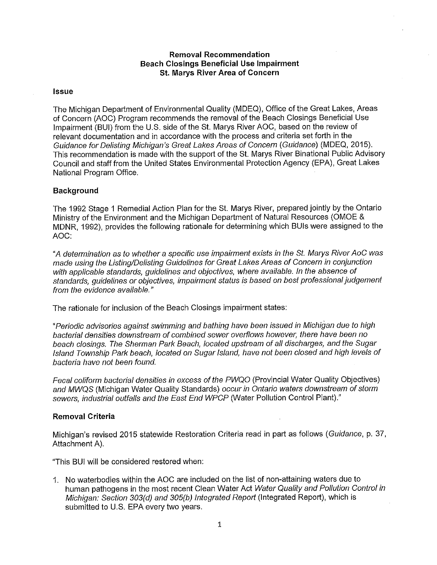# **Removal Recommendation Beach Closings Beneficial Use Impairment St. Marys River Area of Concern**

## **Issue**

The Michigan Department of Environmental Quality (MDEQ), Office of the Great Lakes, Areas of Concern (AOC) Program recommends the removal of the Beach Closings Beneficial Use Impairment (BUI) from the U.S. side of the St. Marys River AOC, based on the review of relevant documentation and in accordance with the process and criteria set forth in the Guidance for Delisting Michigan's Great Lakes Areas of Concern (Guidance) (MDEQ, 2015). This recommendation is made with the support of the St. Marys River Binational Public Advisory Council and staff from the United States Environmental Protection Agency (EPA), Great Lakes National Program Office.

# **Background**

The 1992 Stage 1 Remedial Action Plan for the St. Marys River, prepared jointly by the Ontario Ministry of the Environment and the Michigan Department of Natural Resources (OMOE & MDNR, 1992), provides the following rationale for determining which BUIs were assigned to the AOC:

"A determination as to whether a specific use impairment exists in the St. Marys River AoC was made using the Listing/Delisting Guidelines for Great Lakes Areas of Concern in conjunction with applicable standards, quidelines and objectives, where available. In the absence of standards, guidelines or objectives, impairment status is based on best professional judgement from the evidence available."

The rationale for inclusion of the Beach Closings impairment states:

"Periodic advisories against swimming and bathing have been issued in Michigan due to high bacterial densities downstream of combined sewer overflows however, there have been no beach closings. The Sherman Park Beach, located upstream of all discharges, and the Sugar Island Township Park beach, located on Sugar Island, have not been closed and high levels of bacteria have not been found.

Fecal coliform bacterial densities in excess of the PWQO (Provincial Water Quality Objectives) and MWQS (Michigan Water Quality Standards) occur in Ontario waters downstream of storm sewers, industrial outfalls and the East End WPCP (Water Pollution Control Plant)."

# **Removal Criteria**

Michigan's revised 2015 statewide Restoration Criteria read in part as follows (Guidance, p. 37, Attachment A).

"This BUI will be considered restored when:

1. No waterbodies within the AOC are included on the list of non-attaining waters due to human pathogens in the most recent Clean Water Act Water Quality and Pollution Control in Michigan: Section 303(d) and 305(b) Integrated Report (Integrated Report), which is submitted to U.S. EPA every two years.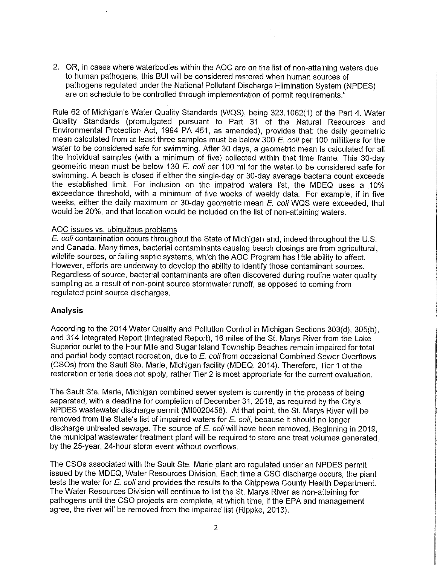2. OR, in cases where waterbodies within the AOC are on the list of non-attaining waters due to human pathogens, this BUI will be considered restored when human sources of pathogens regulated under the National Pollutant Discharge Elimination System (NPDES) are on schedule to be controlled through implementation of permit requirements."

Rule 62 of Michigan's Water Quality Standards (WQS), being 323.1062(1) of the Part 4. Water Quality Standards (promulgated pursuant to Part 31 of the Natural Resources and Environmental Protection Act, 1994 PA 451, as amended), provides that: the daily geometric mean calculated from at least three samples must be below 300  $E$ . coli per 100 milliliters for the water to be considered safe for swimming. After 30 days, a geometric mean is calculated for all the individual samples (with a minimum of five) collected within that time frame. This 30-day geometric mean must be below 130 E. coli per 100 ml for the water. to be considered safe for swimming. A beach is closed if either the single-day or 30-day average bacteria count exceeds the established limit. For inclusion on the impaired waters list, the MDEQ uses a 10% exceedance threshold, with a minimum of five weeks of weekly data. For example, if in five weeks, either the daily maximum or 30-day geometric mean E. coli WQS were exceeded, that would be 20%, and that location would be included on the list of non-attaining waters.

## AOC issues vs. ubiquitous problems

E. coli contamination occurs throughout the State of Michigan and, indeed throughout the U.S. and Canada. Many times, bacterial contaminants causing beach closings are from agricultural, wildlife sources, or failing septic systems, which the AOC Program has little ability to affect. However, efforts are underway to develop the ability to identify those contaminant sources. Regardless of source, bacterial contaminants are often discovered during routine water quality sampling as a result of non-point source stormwater runoff, as opposed to coming from regulated point source discharges.

# **Analysis**

According to the 2014 Water Quality and Pollution Control in Michigan Sections 303(d), 305(b), and 314 Integrated Report (Integrated Report), 16 miles of the St. Marys River from the Lake Superior outlet to the Four Mile and Sugar Island Township Beaches remain impaired for total and partial body contact recreation, due to E. coli from occasional Combined Sewer Overflows (CSOs) from the Sault Ste. Marie, Michigan facility (MDEQ, 2014). Therefore, Tier 1 of the restoration criteria does not apply, rather Tier 2 is most appropriate for the current evaluation.

The Sault Ste. Marie, Michigan combined sewer system is currently in the process of being separated, with a deadline for completion of December 31, 2018, as required by the City's NPDES wastewater discharge permit (MI0020458). At that point, the St. Marys River will be removed from the State's list of impaired waters for  $E$ . coli, because it should no longer discharge untreated sewage. The source of  $E$ . coli will have been removed. Beginning in 2019, the municipal wastewater treatment plant will be required to store and treat volumes generated by the 25-year, 24-hour storm event without overflows.

The CSOs associated with the Sault Ste. Marie plant are regulated under an NPDES permit issued by the MDEQ, Water Resources Division. Each time a CSO discharge occurs, the plant tests the water for E. coli and provides the results to the Chippewa County Health Department. The Water Resources Division will continue to list the St. Marys River as non-attaining for pathogens until the CSO projects are complete, at which time, if the EPA and management agree, the river will be removed from the impaired list (Rippke, 2013).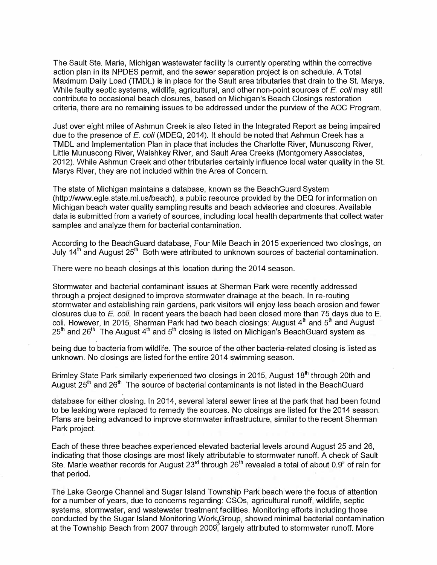The Sault Ste. Marie, Michigan wastewater facility is currently operating within the corrective action plan in its NPDES permit, and the sewer separation project is on schedule. A Total Maximum Daily Load (TMDL) is in place for the Sault area tributaries that drain to the St. Marys. While faulty septic systems, wildlife, agricultural, and other non-point sources of *E.coli* may still contribute to occasional beach closures, based on Michigan's Beach Closings restoration criteria, there are no remaining issues to be addressed under the purview of the AOC Program.

Just over eight miles of Ashmun Creek is also listed in the Integrated Report as being impaired due to the presence of *E.coli* (MDEQ, 2014). It should be noted that Ashmun Creek has a TMDL and Implementation Plan in place that includes the Charlotte River, Munuscong River, Little Munuscong River, Waishkey River, and Sault Area Creeks (Montgomery Associates, 2012). While Ashmun Creek and other tributaries certainly influence local water quality in the St. Marys River, they are not included within the Area of Concern.

The state of Michigan maintains a database, known as the BeachGuard System (http://www.egle.state.mi.us/beach), a public resource provided by the DEQ for information on Michigan beach water quality sampling results and beach advisories and closures. Available data is submitted from a variety of sources, including local health departments that collect water samples and analyze them for bacterial contamination.

According to the BeachGuard database, Four Mile Beach in 2015 experienced two closings, on July 14<sup>th</sup> and August 25<sup>th</sup> Both were attributed to unknown sources of bacterial contamination.

There were no beach closings at this location during the 2014 season.

.

.

.

Stormwater and bacterial contaminant issues at Sherman Park were recently addressed through a project designed to improve stormwater drainage at the beach. In re-routing stormwater and establishing rain gardens, park visitors will enjoy less beach erosion and fewer closures due to *E. coli.* In recent years the beach had been closed more than 75 days due to E. coli. However, in 2015, Sherman Park had two beach closings: August 4<sup>th</sup> and 5<sup>th</sup> and August 25 $^{\text{th}}$  and 26 $^{\text{th}}$  The August 4 $^{\text{th}}$  and 5 $^{\text{th}}$  closing is listed on Michigan's BeachGuard system as

being due to bacteria from wildlife. The source of the other bacteria-related closing is listed as unknown. No closings are listed for the entire 2014 swimming season.

Brimley State Park similarly experienced two closings in 2015, August 18<sup>th</sup> through 20th and August 25<sup>th</sup> and 26<sup>th</sup> The source of bacterial contaminants is not listed in the BeachGuard

database for either closing. In 2014, several lateral sewer lines at the park that had been found to be leaking were replaced to remedy the sources. No closings are listed for the 2014 season. Plans are being advanced to improve stormwater infrastructure, similar to the recent Sherman Park project.

Each of these three beaches experienced elevated bacterial levels around August 25 and 26, indicating that those closings are most likely attributable to stormwater runoff. A check of Sault Ste. Marie weather records for August 23<sup>rd</sup> through 26<sup>th</sup> revealed a total of about 0.9" of rain for that period.

The Lake George Channel and Sugar Island Township Park beach were the focus of attention for a number of years, due to concerns regarding: CSOs, agricultural runoff, wildlife, septic systems, stormwater, and wastewater treatment facilities. Monitoring efforts including those conducted by the Sugar Island Monitoring Work Group, showed minimal bacterial contamination at the Township Beach from 2007 through 2009, largely attributed to stormwater runoff. More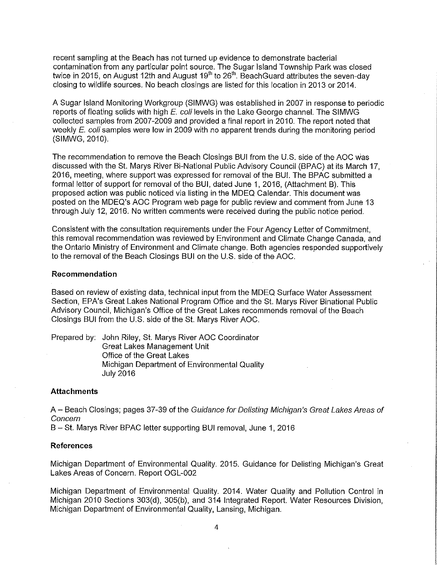recent sampling at the Beach has not turned up evidence to demonstrate bacterial contamination from any particular point source. The Sugar Island Township Park was closed twice in 2015, on August 12th and August 19<sup>th</sup> to 26<sup>th</sup>. BeachGuard attributes the seven-day closing to wildlife sources. No beach closings are listed for this location in 2013 or 2014.

A Sugar Island Monitoring Workgroup (SIMWG) was established in 2007 in response to periodic reports of floating solids with high E. coli levels in the Lake George channel. The SIMWG collected samples from 2007-2009 and provided a final report in 2010. The report noted that weekly E. coli samples were low in 2009 with no apparent trends during the monitoring period (SIMWG, 2010).

The recommendation to remove the Beach Closings BUI from the U.S. side of the AOC was discussed with the St. Marys River Bi-National Public Advisory Council (BPAC) at its March 17, 2016, meeting, where support was expressed for removal of the BUI. The BPAC submitted a formal letter of support for removal of the BUI, dated June 1, 2016, (Attachment B). This proposed action was public noticed via listing in the MDEQ Calendar. This document was posted on the MDEQ's AOC Program web page for public review and comment from June 13 through July 12, 2016. No written comments were received during the public notice period.

Consistent with the consultation requirements under the Four Agency Letter of Commitment, this removal recommendation was reviewed by Environment and Climate Change Canada, and the Ontario Ministry of Environment and Climate change. Both agencies responded supportively to the removal of the Beach Closings BUI on the U.S. side of the AOC.

### **Recommendation**

Based on review of existing data, technical input from the MDEQ Surface Water Assessment Section, EPA's Great Lakes National Program Office and the St. Marys River Binational Public Advisory Council, Michigan's Office of the Great Lakes recommends removal of the Beach Closings BUI from the U.S. side of the St. Marys River AOC.

Prepared by: John Riley, St. Marys River AOC Coordinator Great Lakes Management Unit Office of the Great Lakes Michigan Department of Environmental Quality July 2016

### **Attachments**

A - Beach Closings; pages 37-39 of the Guidance for Delisting Michigan's Great Lakes Areas of Concern

B - St. Marys River BPAC letter supporting BUI removal, June 1, 2016

#### **References**

Michigan Department of Environmental Quality. 2015. Guidance for Delisting Michigan's Great Lakes Areas of Concern. Report OGL-002

Michigan Department of Environmental Quality. 2014. Water Quality and Pollution Control in Michigan 2010 Sections 303(d), 305(b), and 314 Integrated Report. Water Resources Division, Michigan Department of Environmental Quality, Lansing, Michigan.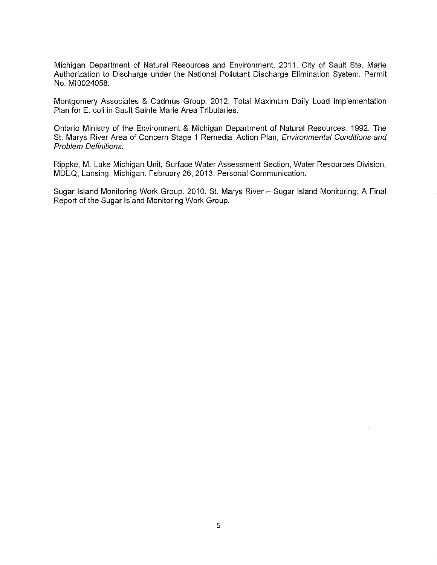Michigan Department of Natural Resources and Environment. 2011. City of Sault Ste. Marie Authorization to Discharge under the National Pollutant Discharge Elimination System. Permit No. MI0024058.

Montgomery Associates & Cadmus Group. 2012. Total Maximum Daily Load Implementation Plan for E. coli in Sault Sainte Marie Area Tributaries.

Ontario Ministry of the Environment & Michigan Department of Natural Resources. 1992. The St. Marys River Area of Concern Stage 1 Remedial Action Plan, *Environmental Conditions and* Problem Definitions.

Rippke, M. Lake Michigan Unit, Surface Water Assessment Section, Water Resources Division, MDEQ, Lansing, Michigan. February 26, 2013. Personal Communication.

Sugar Island Monitoring Work Group. 2010. St. Marys River - Sugar Island Monitoring: A Final Report of the Sugar Island Monitoring Work Group.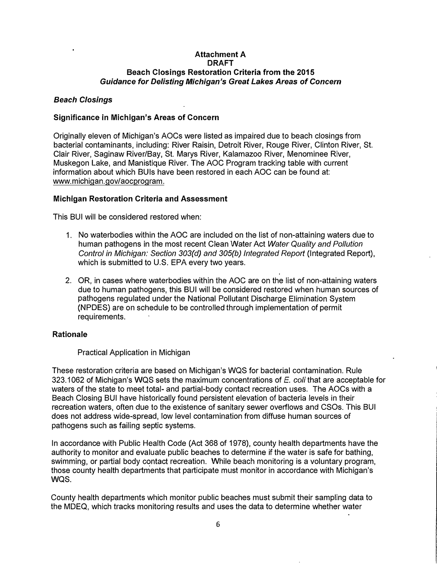# **Attachment A DRAFT Beach Closings Restoration Criteria from the 2015**  *Guidance for Delisting Michigan's Great Lakes Areas of Concern*

# *Beach Closings*

# **Significance in Michigan's Areas of Concern**

Originally eleven of Michigan's AOCs were listed as impaired due to beach closings from bacterial contaminants, including: River Raisin, Detroit River, Rouge River, Clinton River, St. Clair River, Saginaw River/Bay, St. Marys River, Kalamazoo River, Menominee River, Muskegon Lake, and Manistique River. The AOC Program tracking table with current information about which BUIs have been restored in each AOC can be found at: www.michigan.gov/aocprogram.

# **Michigan Restoration Criteria and Assessment**

This BUI will be considered restored when:

- 1. No waterbodies within the AOC are included on the list of non-attaining waters due to human pathogens in the most recent Clean Water Act *Water Quality and Pollution Control in Michigan: Section 303(d) and 305(b) Integrated Report* (Integrated Report), which is submitted to U.S. EPA every two years.
- 2. OR, in cases where waterbodies within the AOC are on the list of non-attaining waters due to human pathogens, this BUI will be considered restored when human sources of pathogens regulated under the National Pollutant Discharge Elimination System (NPDES) are on schedule to be controlled through implementation of permit requirements.

# **Rationale**

Practical Application in Michigan

These restoration criteria are based on Michigan's WQS for bacterial contamination. Rule 323.1062 of Michigan's WQS sets the maximum concentrations of *E.coli* that are acceptable for waters of the state to meet total- and partial-body contact recreation uses. The AOCs with a Beach Closing BUI have historically found persistent elevation of bacteria levels in their recreation waters, often due to the existence of sanitary sewer overflows and CSOs. This BUI does not address wide-spread, low level contamination from diffuse human sources of pathogens such as failing septic systems.

In accordance with Public Health Code (Act 368 of 1978), county health departments have the authority to monitor and evaluate public beaches to determine if the water is safe for bathing, swimming, or partial body contact recreation. While beach monitoring is a voluntary program, those county health departments that participate must monitor in accordance with Michigan's **WQS.** 

County health departments which monitor public beaches must submit their sampling data to the MDEQ, which tracks monitoring results and uses the data to determine whether water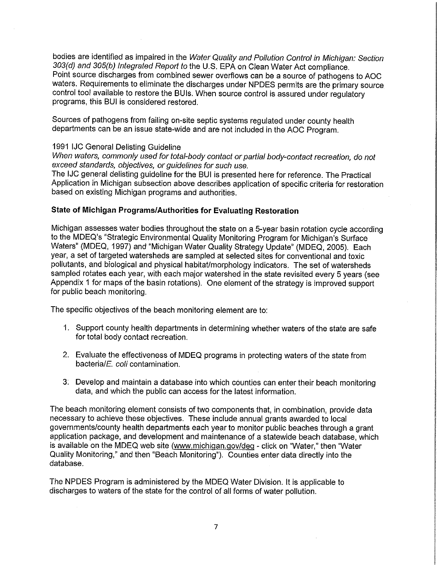bodies are identified as impaired in the Water Quality and Pollution Control in Michigan: Section 303(d) and 305(b) Integrated Report to the U.S. EPA on Clean Water Act compliance. Point source discharges from combined sewer overflows can be a source of pathogens to AOC waters. Requirements to eliminate the discharges under NPDES permits are the primary source control tool available to restore the BUIs. When source control is assured under regulatory programs, this BUI is considered restored.

Sources of pathogens from failing on-site septic systems regulated under county health departments can be an issue state-wide and are not included in the AOC Program.

## 1991 IJC General Delisting Guideline

When waters, commonly used for total-body contact or partial body-contact recreation, do not exceed standards, objectives, or guidelines for such use.

The IJC general delisting guideline for the BUI is presented here for reference. The Practical Application in Michigan subsection above describes application of specific criteria for restoration based on existing Michigan programs and authorities.

# **State of Michigan Programs/Authorities for Evaluating Restoration**

Michigan assesses water bodies throughout the state on a 5-year basin rotation cycle according to the MDEQ's "Strategic Environmental Quality Monitoring Program for Michigan's Surface Waters" (MDEQ, 1997) and "Michigan Water Quality Strategy Update" (MDEQ, 2005). Each year, a set of targeted watersheds are sampled at selected sites for conventional and toxic pollutants, and biological and physical habitat/morphology indicators. The set of watersheds sampled rotates each year, with each major watershed in the state revisited every 5 years (see Appendix 1 for maps of the basin rotations). One element of the strategy is improved support for public beach monitoring.

The specific objectives of the beach monitoring element are to:

- 1. Support county health departments in determining whether waters of the state are safe for total body contact recreation.
- 2. Evaluate the effectiveness of MDEQ programs in protecting waters of the state from bacteria/E. coli contamination.
- 3: Develop and maintain a database into which counties can enter their beach monitoring data, and which the public can access for the latest information.

The beach monitoring element consists of two components that, in combination, provide data necessary to achieve these objectives. These include annual grants awarded to local governments/county health departments each year to monitor public beaches through a grant application package, and development and maintenance of a statewide beach database, which is available on the MDEQ web site (www.michigan.gov/deq - click on "Water," then "Water Quality Monitoring," and then "Beach Monitoring"). Counties enter data directly into the database.

The NPDES Program is administered by the MDEQ Water Division. It is applicable to discharges to waters of the state for the control of all forms of water pollution.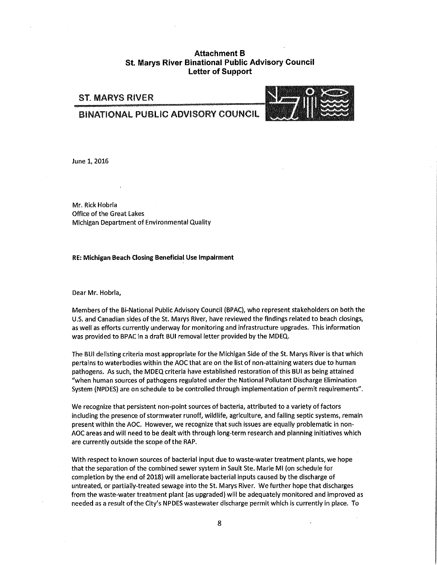## **Attachment B St. Marys River Binational Public Advisory Council Letter of Support**

# ST. MARYS RIVER

## BINATIONAL PUBLIC ADVISORY COUNCIL



June 1, 2016

Mr. Rick Hobrla Office of the Great Lakes Michigan Department of Environmental Quality

#### **RE: Michigan Beach Closing Beneficial Use Impairment**

Dear Mr. Hobrla,

Members of the Bi-National Public Advisory Council (BPAC), who represent stakeholders on both the U.S. and Canadian sides of the St. Marys River, have reviewed the findings related to beach closings, as well as efforts currently underway for monitoring and infrastructure upgrades. This information was provided to BPAC in a draft BUI removal letter provided by the MDEQ.

The BUI delisting criteria most appropriate for the Michigan Side of the St. Marys River is that which pertains to waterbodies within the AOC that are on the list of non-attaining waters due to human pathogens. As such, the MDEQ criteria have established restoration of this BUI as being attained "when human sources of pathogens regulated under the National Pollutant Discharge Elimination System (NPDES) are on schedule to be controlled through implementation of permit requirements".

We recognize that persistent non-point sources of bacteria, attributed to a variety of factors including the presence of stormwater runoff, wildlife, agriculture, and failing septic systems, remain present within the AOC. However, we recognize that such issues are equally problematic in non-AOC areas and will need to be dealt with through long-term research and planning initiatives which are currently outside the scope of the RAP.

With respect to known sources of bacterial input due to waste-water treatment plants, we hope that the separation of the combined sewer system in Sault Ste. Marie Ml (on schedule for completion by the end of 2018) will ameliorate bacterial inputs caused by the discharge of untreated, or partially-treated sewage into the St. Marys River. We further hope that discharges from the waste-water treatment plant (as upgraded) will be adequately monitored and improved as needed as a result of the City's NP DES wastewater discharge permit which is currently in place. To